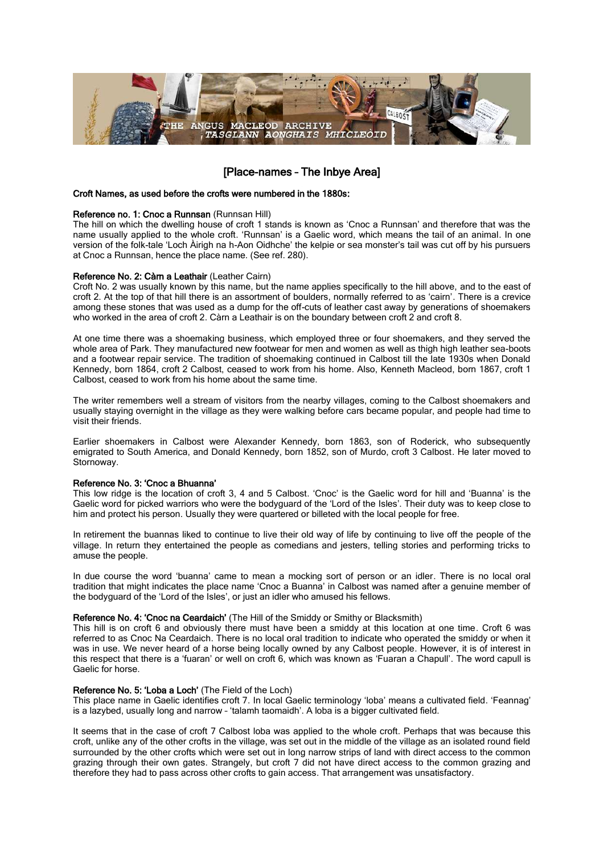

# [Place-names – The Inbye Area]

### Croft Names, as used before the crofts were numbered in the 1880s:

# Reference no. 1: Cnoc a Runnsan (Runnsan Hill)

The hill on which the dwelling house of croft 1 stands is known as 'Cnoc a Runnsan' and therefore that was the name usually applied to the whole croft. 'Runnsan' is a Gaelic word, which means the tail of an animal. In one version of the folk-tale 'Loch Àirigh na h-Aon Oidhche' the kelpie or sea monster's tail was cut off by his pursuers at Cnoc a Runnsan, hence the place name. (See ref. 280).

### Reference No. 2: Càrn a Leathair (Leather Cairn)

Croft No. 2 was usually known by this name, but the name applies specifically to the hill above, and to the east of croft 2. At the top of that hill there is an assortment of boulders, normally referred to as 'cairn'. There is a crevice among these stones that was used as a dump for the off-cuts of leather cast away by generations of shoemakers who worked in the area of croft 2. Càrn a Leathair is on the boundary between croft 2 and croft 8.

At one time there was a shoemaking business, which employed three or four shoemakers, and they served the whole area of Park. They manufactured new footwear for men and women as well as thigh high leather sea-boots and a footwear repair service. The tradition of shoemaking continued in Calbost till the late 1930s when Donald Kennedy, born 1864, croft 2 Calbost, ceased to work from his home. Also, Kenneth Macleod, born 1867, croft 1 Calbost, ceased to work from his home about the same time.

The writer remembers well a stream of visitors from the nearby villages, coming to the Calbost shoemakers and usually staying overnight in the village as they were walking before cars became popular, and people had time to visit their friends.

Earlier shoemakers in Calbost were Alexander Kennedy, born 1863, son of Roderick, who subsequently emigrated to South America, and Donald Kennedy, born 1852, son of Murdo, croft 3 Calbost. He later moved to Stornoway.

# Reference No. 3: 'Cnoc a Bhuanna'

This low ridge is the location of croft 3, 4 and 5 Calbost. 'Cnoc' is the Gaelic word for hill and 'Buanna' is the Gaelic word for picked warriors who were the bodyguard of the 'Lord of the Isles'. Their duty was to keep close to him and protect his person. Usually they were quartered or billeted with the local people for free.

In retirement the buannas liked to continue to live their old way of life by continuing to live off the people of the village. In return they entertained the people as comedians and jesters, telling stories and performing tricks to amuse the people.

In due course the word 'buanna' came to mean a mocking sort of person or an idler. There is no local oral tradition that might indicates the place name 'Cnoc a Buanna' in Calbost was named after a genuine member of the bodyguard of the 'Lord of the Isles', or just an idler who amused his fellows.

#### Reference No. 4: 'Cnoc na Ceardaich' (The Hill of the Smiddy or Smithy or Blacksmith)

This hill is on croft 6 and obviously there must have been a smiddy at this location at one time. Croft 6 was referred to as Cnoc Na Ceardaich. There is no local oral tradition to indicate who operated the smiddy or when it was in use. We never heard of a horse being locally owned by any Calbost people. However, it is of interest in this respect that there is a 'fuaran' or well on croft 6, which was known as 'Fuaran a Chapull'. The word capull is Gaelic for horse.

# Reference No. 5: 'Loba a Loch' (The Field of the Loch)

This place name in Gaelic identifies croft 7. In local Gaelic terminology 'loba' means a cultivated field. 'Feannag' is a lazybed, usually long and narrow – 'talamh taomaidh'. A loba is a bigger cultivated field.

It seems that in the case of croft 7 Calbost loba was applied to the whole croft. Perhaps that was because this croft, unlike any of the other crofts in the village, was set out in the middle of the village as an isolated round field surrounded by the other crofts which were set out in long narrow strips of land with direct access to the common grazing through their own gates. Strangely, but croft 7 did not have direct access to the common grazing and therefore they had to pass across other crofts to gain access. That arrangement was unsatisfactory.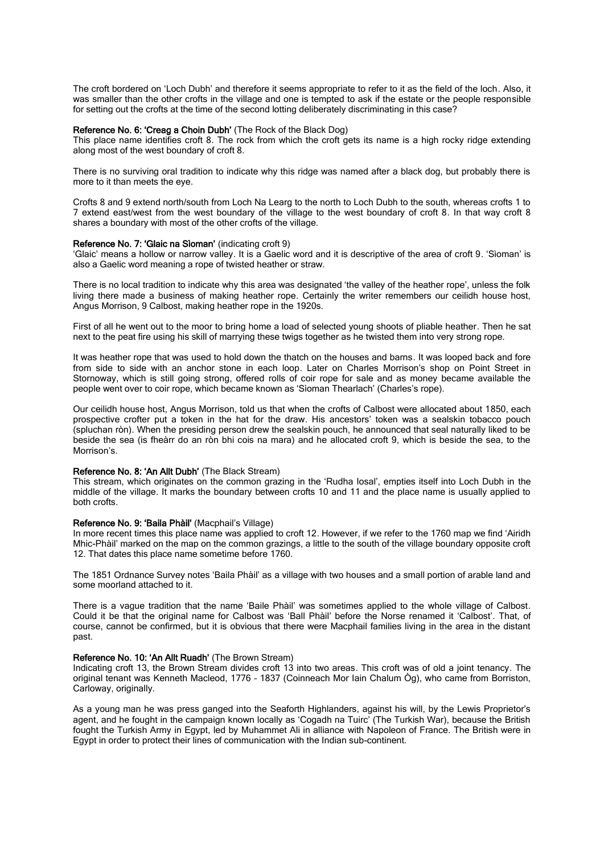The croft bordered on 'Loch Dubh' and therefore it seems appropriate to refer to it as the field of the loch. Also, it was smaller than the other crofts in the village and one is tempted to ask if the estate or the people responsible for setting out the crofts at the time of the second lotting deliberately discriminating in this case?

### Reference No. 6: 'Creag a Choin Dubh' (The Rock of the Black Dog)

This place name identifies croft 8. The rock from which the croft gets its name is a high rocky ridge extending along most of the west boundary of croft 8.

There is no surviving oral tradition to indicate why this ridge was named after a black dog, but probably there is more to it than meets the eye.

Crofts 8 and 9 extend north/south from Loch Na Learg to the north to Loch Dubh to the south, whereas crofts 1 to 7 extend east/west from the west boundary of the village to the west boundary of croft 8. In that way croft 8 shares a boundary with most of the other crofts of the village.

#### Reference No. 7: 'Glaic na Sìoman' (indicating croft 9)

'Glaic' means a hollow or narrow valley. It is a Gaelic word and it is descriptive of the area of croft 9. 'Sìoman' is also a Gaelic word meaning a rope of twisted heather or straw.

There is no local tradition to indicate why this area was designated 'the valley of the heather rope', unless the folk living there made a business of making heather rope. Certainly the writer remembers our ceilidh house host, Angus Morrison, 9 Calbost, making heather rope in the 1920s.

First of all he went out to the moor to bring home a load of selected young shoots of pliable heather. Then he sat next to the peat fire using his skill of marrying these twigs together as he twisted them into very strong rope.

It was heather rope that was used to hold down the thatch on the houses and barns. It was looped back and fore from side to side with an anchor stone in each loop. Later on Charles Morrison's shop on Point Street in Stornoway, which is still going strong, offered rolls of coir rope for sale and as money became available the people went over to coir rope, which became known as 'Sìoman Thearlach' (Charles's rope).

Our ceilidh house host, Angus Morrison, told us that when the crofts of Calbost were allocated about 1850, each prospective crofter put a token in the hat for the draw. His ancestors' token was a sealskin tobacco pouch (spluchan ròn). When the presiding person drew the sealskin pouch, he announced that seal naturally liked to be beside the sea (is fheàrr do an ròn bhi cois na mara) and he allocated croft 9, which is beside the sea, to the Morrison's.

# Reference No. 8: 'An Allt Dubh' (The Black Stream)

This stream, which originates on the common grazing in the 'Rudha Iosal', empties itself into Loch Dubh in the middle of the village. It marks the boundary between crofts 10 and 11 and the place name is usually applied to both crofts.

### Reference No. 9: 'Baila Phàil' (Macphail's Village)

In more recent times this place name was applied to croft 12. However, if we refer to the 1760 map we find 'Airidh Mhic-Phàil' marked on the map on the common grazings, a little to the south of the village boundary opposite croft 12. That dates this place name sometime before 1760.

The 1851 Ordnance Survey notes 'Baila Phàil' as a village with two houses and a small portion of arable land and some moorland attached to it.

There is a vague tradition that the name 'Baile Phàil' was sometimes applied to the whole village of Calbost. Could it be that the original name for Calbost was 'Ball Phàil' before the Norse renamed it 'Calbost'. That, of course, cannot be confirmed, but it is obvious that there were Macphail families living in the area in the distant past.

#### Reference No. 10: 'An Allt Ruadh' (The Brown Stream)

Indicating croft 13, the Brown Stream divides croft 13 into two areas. This croft was of old a joint tenancy. The original tenant was Kenneth Macleod, 1776 – 1837 (Coinneach Mor Iain Chalum Òg), who came from Borriston, Carloway, originally.

As a young man he was press ganged into the Seaforth Highlanders, against his will, by the Lewis Proprietor's agent, and he fought in the campaign known locally as 'Cogadh na Tuirc' (The Turkish War), because the British fought the Turkish Army in Egypt, led by Muhammet Ali in alliance with Napoleon of France. The British were in Egypt in order to protect their lines of communication with the Indian sub-continent.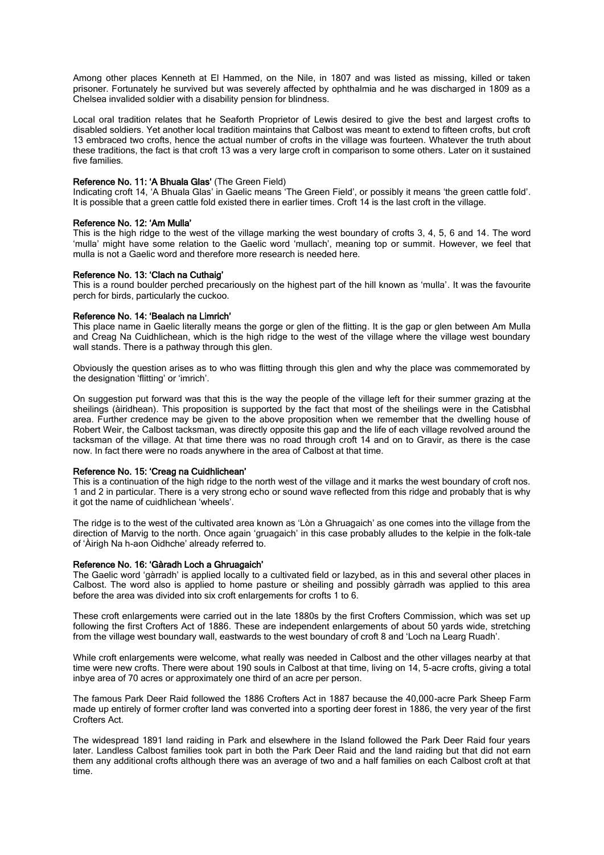Among other places Kenneth at El Hammed, on the Nile, in 1807 and was listed as missing, killed or taken prisoner. Fortunately he survived but was severely affected by ophthalmia and he was discharged in 1809 as a Chelsea invalided soldier with a disability pension for blindness.

Local oral tradition relates that he Seaforth Proprietor of Lewis desired to give the best and largest crofts to disabled soldiers. Yet another local tradition maintains that Calbost was meant to extend to fifteen crofts, but croft 13 embraced two crofts, hence the actual number of crofts in the village was fourteen. Whatever the truth about these traditions, the fact is that croft 13 was a very large croft in comparison to some others. Later on it sustained five families.

# Reference No. 11: 'A Bhuala Glas' (The Green Field)

Indicating croft 14, 'A Bhuala Glas' in Gaelic means 'The Green Field', or possibly it means 'the green cattle fold'. It is possible that a green cattle fold existed there in earlier times. Croft 14 is the last croft in the village.

### Reference No. 12: 'Am Mulla'

This is the high ridge to the west of the village marking the west boundary of crofts 3, 4, 5, 6 and 14. The word 'mulla' might have some relation to the Gaelic word 'mullach', meaning top or summit. However, we feel that mulla is not a Gaelic word and therefore more research is needed here.

### Reference No. 13: 'Clach na Cuthaig'

This is a round boulder perched precariously on the highest part of the hill known as 'mulla'. It was the favourite perch for birds, particularly the cuckoo.

#### Reference No. 14: 'Bealach na Limrich'

This place name in Gaelic literally means the gorge or glen of the flitting. It is the gap or glen between Am Mulla and Creag Na Cuidhlichean, which is the high ridge to the west of the village where the village west boundary wall stands. There is a pathway through this glen.

Obviously the question arises as to who was flitting through this glen and why the place was commemorated by the designation 'flitting' or 'imrich'.

On suggestion put forward was that this is the way the people of the village left for their summer grazing at the sheilings (àiridhean). This proposition is supported by the fact that most of the sheilings were in the Catisbhal area. Further credence may be given to the above proposition when we remember that the dwelling house of Robert Weir, the Calbost tacksman, was directly opposite this gap and the life of each village revolved around the tacksman of the village. At that time there was no road through croft 14 and on to Gravir, as there is the case now. In fact there were no roads anywhere in the area of Calbost at that time.

# Reference No. 15: 'Creag na Cuidhlichean'

This is a continuation of the high ridge to the north west of the village and it marks the west boundary of croft nos. 1 and 2 in particular. There is a very strong echo or sound wave reflected from this ridge and probably that is why it got the name of cuidhlichean 'wheels'.

The ridge is to the west of the cultivated area known as 'Lòn a Ghruagaich' as one comes into the village from the direction of Marvig to the north. Once again 'gruagaich' in this case probably alludes to the kelpie in the folk-tale of 'Àirigh Na h-aon Oidhche' already referred to.

#### Reference No. 16: 'Gàradh Loch a Ghruagaich'

The Gaelic word 'gàrradh' is applied locally to a cultivated field or lazybed, as in this and several other places in Calbost. The word also is applied to home pasture or sheiling and possibly gàrradh was applied to this area before the area was divided into six croft enlargements for crofts 1 to 6.

These croft enlargements were carried out in the late 1880s by the first Crofters Commission, which was set up following the first Crofters Act of 1886. These are independent enlargements of about 50 yards wide, stretching from the village west boundary wall, eastwards to the west boundary of croft 8 and 'Loch na Learg Ruadh'.

While croft enlargements were welcome, what really was needed in Calbost and the other villages nearby at that time were new crofts. There were about 190 souls in Calbost at that time, living on 14, 5-acre crofts, giving a total inbye area of 70 acres or approximately one third of an acre per person.

The famous Park Deer Raid followed the 1886 Crofters Act in 1887 because the 40,000-acre Park Sheep Farm made up entirely of former crofter land was converted into a sporting deer forest in 1886, the very year of the first Crofters Act.

The widespread 1891 land raiding in Park and elsewhere in the Island followed the Park Deer Raid four years later. Landless Calbost families took part in both the Park Deer Raid and the land raiding but that did not earn them any additional crofts although there was an average of two and a half families on each Calbost croft at that time.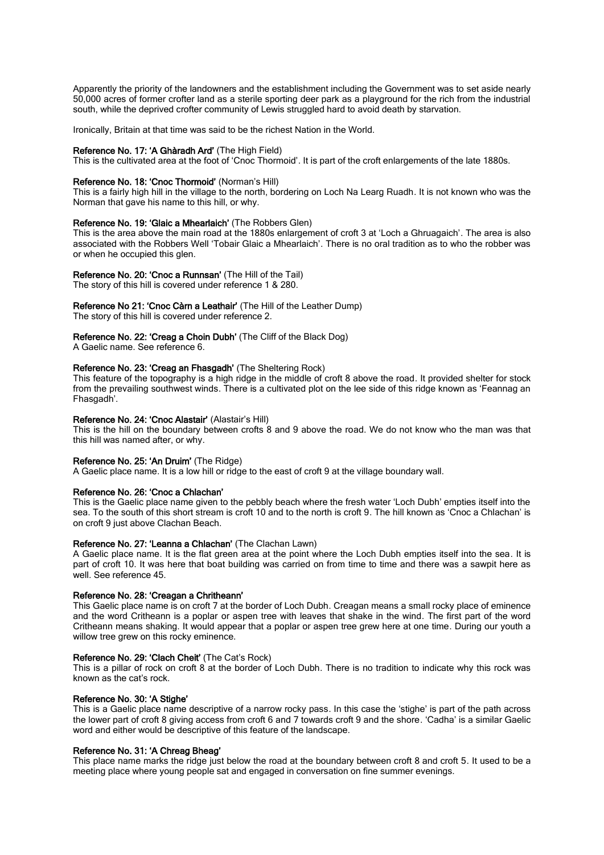Apparently the priority of the landowners and the establishment including the Government was to set aside nearly 50,000 acres of former crofter land as a sterile sporting deer park as a playground for the rich from the industrial south, while the deprived crofter community of Lewis struggled hard to avoid death by starvation.

Ironically, Britain at that time was said to be the richest Nation in the World.

### Reference No. 17: 'A Ghàradh Ard' (The High Field)

This is the cultivated area at the foot of 'Cnoc Thormoid'. It is part of the croft enlargements of the late 1880s.

# Reference No. 18: 'Cnoc Thormoid' (Norman's Hill)

This is a fairly high hill in the village to the north, bordering on Loch Na Learg Ruadh. It is not known who was the Norman that gave his name to this hill, or why.

### Reference No. 19: 'Glaic a Mhearlaich' (The Robbers Glen)

This is the area above the main road at the 1880s enlargement of croft 3 at 'Loch a Ghruagaich'. The area is also associated with the Robbers Well 'Tobair Glaic a Mhearlaich'. There is no oral tradition as to who the robber was or when he occupied this glen.

# Reference No. 20: 'Cnoc a Runnsan' (The Hill of the Tail)

The story of this hill is covered under reference 1 & 280.

# Reference No 21: 'Cnoc Càrn a Leathair' (The Hill of the Leather Dump)

The story of this hill is covered under reference 2.

# Reference No. 22: 'Creag a Choin Dubh' (The Cliff of the Black Dog)

A Gaelic name. See reference 6.

### Reference No. 23: 'Creag an Fhasgadh' (The Sheltering Rock)

This feature of the topography is a high ridge in the middle of croft 8 above the road. It provided shelter for stock from the prevailing southwest winds. There is a cultivated plot on the lee side of this ridge known as 'Feannag an Fhasgadh'.

## Reference No. 24: 'Cnoc Alastair' (Alastair's Hill)

This is the hill on the boundary between crofts 8 and 9 above the road. We do not know who the man was that this hill was named after, or why.

#### Reference No. 25: 'An Druim' (The Ridge)

A Gaelic place name. It is a low hill or ridge to the east of croft 9 at the village boundary wall.

#### Reference No. 26: 'Cnoc a Chlachan'

This is the Gaelic place name given to the pebbly beach where the fresh water 'Loch Dubh' empties itself into the sea. To the south of this short stream is croft 10 and to the north is croft 9. The hill known as 'Cnoc a Chlachan' is on croft 9 just above Clachan Beach.

# Reference No. 27: 'Leanna a Chlachan' (The Clachan Lawn)

A Gaelic place name. It is the flat green area at the point where the Loch Dubh empties itself into the sea. It is part of croft 10. It was here that boat building was carried on from time to time and there was a sawpit here as well. See reference 45.

# Reference No. 28: 'Creagan a Chritheann'

This Gaelic place name is on croft 7 at the border of Loch Dubh. Creagan means a small rocky place of eminence and the word Critheann is a poplar or aspen tree with leaves that shake in the wind. The first part of the word Critheann means shaking. It would appear that a poplar or aspen tree grew here at one time. During our youth a willow tree grew on this rocky eminence.

# Reference No. 29: 'Clach Cheit' (The Cat's Rock)

This is a pillar of rock on croft 8 at the border of Loch Dubh. There is no tradition to indicate why this rock was known as the cat's rock.

# Reference No. 30: 'A Stighe'

This is a Gaelic place name descriptive of a narrow rocky pass. In this case the 'stighe' is part of the path across the lower part of croft 8 giving access from croft 6 and 7 towards croft 9 and the shore. 'Cadha' is a similar Gaelic word and either would be descriptive of this feature of the landscape.

# Reference No. 31: 'A Chreag Bheag'

This place name marks the ridge just below the road at the boundary between croft 8 and croft 5. It used to be a meeting place where young people sat and engaged in conversation on fine summer evenings.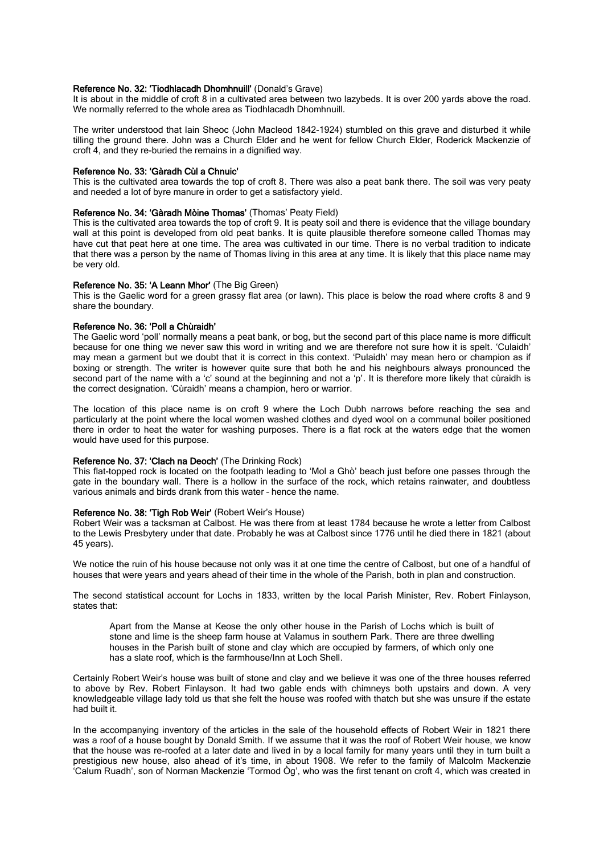# Reference No. 32: 'Tiodhlacadh Dhomhnuill' (Donald's Grave)

It is about in the middle of croft 8 in a cultivated area between two lazybeds. It is over 200 yards above the road. We normally referred to the whole area as Tiodhlacadh Dhomhnuill.

The writer understood that Iain Sheoc (John Macleod 1842-1924) stumbled on this grave and disturbed it while tilling the ground there. John was a Church Elder and he went for fellow Church Elder, Roderick Mackenzie of croft 4, and they re-buried the remains in a dignified way.

# Reference No. 33: 'Gàradh Cùl a Chnuic'

This is the cultivated area towards the top of croft 8. There was also a peat bank there. The soil was very peaty and needed a lot of byre manure in order to get a satisfactory yield.

# Reference No. 34: 'Gàradh Mòine Thomas' (Thomas' Peaty Field)

This is the cultivated area towards the top of croft 9. It is peaty soil and there is evidence that the village boundary wall at this point is developed from old peat banks. It is quite plausible therefore someone called Thomas may have cut that peat here at one time. The area was cultivated in our time. There is no verbal tradition to indicate that there was a person by the name of Thomas living in this area at any time. It is likely that this place name may be very old.

#### Reference No. 35: 'A Leann Mhor' (The Big Green)

This is the Gaelic word for a green grassy flat area (or lawn). This place is below the road where crofts 8 and 9 share the boundary.

# Reference No. 36: 'Poll a Chùraidh'

The Gaelic word 'poll' normally means a peat bank, or bog, but the second part of this place name is more difficult because for one thing we never saw this word in writing and we are therefore not sure how it is spelt. 'Culaidh' may mean a garment but we doubt that it is correct in this context. 'Pulaidh' may mean hero or champion as if boxing or strength. The writer is however quite sure that both he and his neighbours always pronounced the second part of the name with a 'c' sound at the beginning and not a 'p'. It is therefore more likely that cùraidh is the correct designation. 'Cùraidh' means a champion, hero or warrior.

The location of this place name is on croft 9 where the Loch Dubh narrows before reaching the sea and particularly at the point where the local women washed clothes and dyed wool on a communal boiler positioned there in order to heat the water for washing purposes. There is a flat rock at the waters edge that the women would have used for this purpose.

# Reference No. 37: 'Clach na Deoch' (The Drinking Rock)

This flat-topped rock is located on the footpath leading to 'Mol a Ghò' beach just before one passes through the gate in the boundary wall. There is a hollow in the surface of the rock, which retains rainwater, and doubtless various animals and birds drank from this water – hence the name.

## Reference No. 38: 'Tigh Rob Weir' (Robert Weir's House)

Robert Weir was a tacksman at Calbost. He was there from at least 1784 because he wrote a letter from Calbost to the Lewis Presbytery under that date. Probably he was at Calbost since 1776 until he died there in 1821 (about 45 years).

We notice the ruin of his house because not only was it at one time the centre of Calbost, but one of a handful of houses that were years and years ahead of their time in the whole of the Parish, both in plan and construction.

The second statistical account for Lochs in 1833, written by the local Parish Minister, Rev. Robert Finlayson, states that:

Apart from the Manse at Keose the only other house in the Parish of Lochs which is built of stone and lime is the sheep farm house at Valamus in southern Park. There are three dwelling houses in the Parish built of stone and clay which are occupied by farmers, of which only one has a slate roof, which is the farmhouse/Inn at Loch Shell.

Certainly Robert Weir's house was built of stone and clay and we believe it was one of the three houses referred to above by Rev. Robert Finlayson. It had two gable ends with chimneys both upstairs and down. A very knowledgeable village lady told us that she felt the house was roofed with thatch but she was unsure if the estate had built it.

In the accompanying inventory of the articles in the sale of the household effects of Robert Weir in 1821 there was a roof of a house bought by Donald Smith. If we assume that it was the roof of Robert Weir house, we know that the house was re-roofed at a later date and lived in by a local family for many years until they in turn built a prestigious new house, also ahead of it's time, in about 1908. We refer to the family of Malcolm Mackenzie 'Calum Ruadh', son of Norman Mackenzie 'Tormod Òg', who was the first tenant on croft 4, which was created in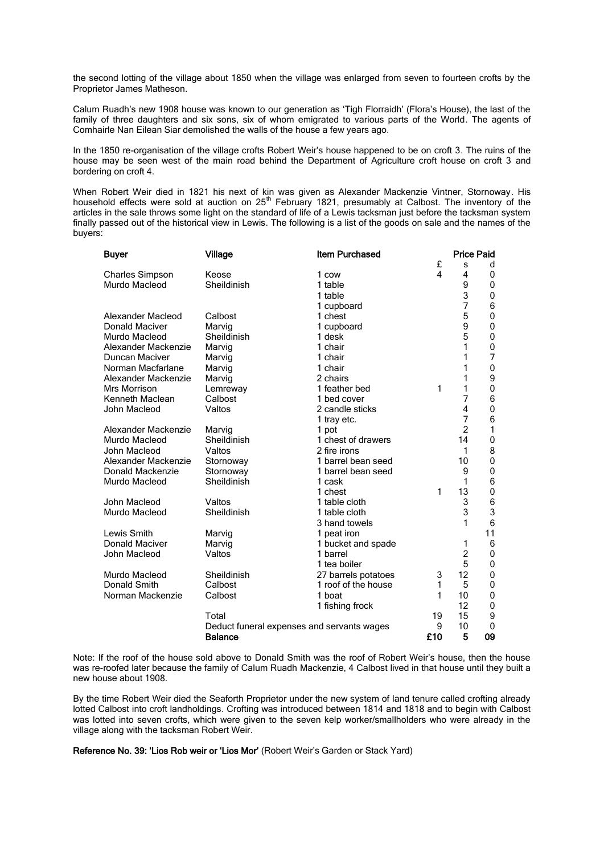the second lotting of the village about 1850 when the village was enlarged from seven to fourteen crofts by the Proprietor James Matheson.

Calum Ruadh's new 1908 house was known to our generation as 'Tigh Florraidh' (Flora's House), the last of the family of three daughters and six sons, six of whom emigrated to various parts of the World. The agents of Comhairle Nan Eilean Siar demolished the walls of the house a few years ago.

In the 1850 re-organisation of the village crofts Robert Weir's house happened to be on croft 3. The ruins of the house may be seen west of the main road behind the Department of Agriculture croft house on croft 3 and bordering on croft 4.

When Robert Weir died in 1821 his next of kin was given as Alexander Mackenzie Vintner, Stornoway. His household effects were sold at auction on 25<sup>th</sup> February 1821, presumably at Calbost. The inventory of the articles in the sale throws some light on the standard of life of a Lewis tacksman just before the tacksman system finally passed out of the historical view in Lewis. The following is a list of the goods on sale and the names of the buyers:

| Buyer                                                        | <b>Village</b> | <b>Item Purchased</b> |    | <b>Price Paid</b> |             |
|--------------------------------------------------------------|----------------|-----------------------|----|-------------------|-------------|
|                                                              |                |                       | £  | S                 | d           |
| <b>Charles Simpson</b>                                       | Keose          | 1 cow                 | 4  | 4                 | 0           |
| Murdo Macleod                                                | Sheildinish    | 1 table               |    | 9                 | 0           |
|                                                              |                | 1 table               |    | 3                 | 0           |
|                                                              |                | 1 cupboard            |    | 7                 | 6           |
| Alexander Macleod                                            | Calbost        | 1 chest               |    | 5                 | 0           |
| Donald Maciver                                               | Marvig         | 1 cupboard            |    | 9                 | 0           |
| Murdo Macleod                                                | Sheildinish    | 1 desk                |    | 5                 | 0           |
| Alexander Mackenzie                                          | Marvig         | 1 chair               |    | 1                 | 0           |
| Duncan Maciver                                               | Marvig         | 1 chair               |    | 1                 | 7           |
| Norman Macfarlane                                            | Marvig         | 1 chair               |    | 1                 | 0           |
| Alexander Mackenzie                                          | Marvig         | 2 chairs              |    | 1                 | 9           |
| Mrs Morrison                                                 | Lemreway       | 1 feather bed         | 1  | 1                 | $\mathbf 0$ |
| Kenneth Maclean                                              | Calbost        | 1 bed cover           |    | 7                 | 6           |
| John Macleod                                                 | Valtos         | 2 candle sticks       |    | 4                 | $\mathbf 0$ |
|                                                              |                | 1 tray etc.           |    | $\overline{7}$    | 6           |
| Alexander Mackenzie                                          | Marvig         | 1 pot                 |    | $\overline{2}$    | 1           |
| Murdo Macleod                                                | Sheildinish    | 1 chest of drawers    |    | 14                | $\mathbf 0$ |
| John Macleod                                                 | Valtos         | 2 fire irons          |    | 1                 | 8           |
| Alexander Mackenzie                                          | Stornoway      | 1 barrel bean seed    |    | 10                | $\mathbf 0$ |
| Donald Mackenzie                                             | Stornoway      | 1 barrel bean seed    |    | 9                 | 0           |
| Murdo Macleod                                                | Sheildinish    | 1 cask                |    | 1                 | 6           |
|                                                              |                | 1 chest               | 1  | 13                | 0           |
| John Macleod                                                 | Valtos         | 1 table cloth         |    | 3                 | 6           |
| Murdo Macleod                                                | Sheildinish    | 1 table cloth         |    | 3                 | 3           |
|                                                              |                | 3 hand towels         |    | 1                 | 6           |
| Lewis Smith                                                  | Marvig         | 1 peat iron           |    |                   | 11          |
| <b>Donald Maciver</b>                                        | Marvig         | 1 bucket and spade    |    | 1                 | 6           |
| John Macleod                                                 | Valtos         | 1 barrel              |    | 2                 | 0           |
|                                                              |                | 1 tea boiler          |    | 5                 | 0           |
| Murdo Macleod                                                | Sheildinish    | 27 barrels potatoes   | 3  | 12                | 0           |
| Donald Smith                                                 | Calbost        | 1 roof of the house   | 1  | 5                 | $\mathbf 0$ |
| Norman Mackenzie                                             | Calbost        | 1 boat                | 1  | 10                | 0           |
|                                                              |                | 1 fishing frock       |    | 12                | 0           |
|                                                              | Total          |                       | 19 | 15                | 9           |
| Deduct funeral expenses and servants wages<br><b>Balance</b> |                |                       | 9  | 10                | 0           |
|                                                              |                | £10                   | 5  | 09                |             |

Note: If the roof of the house sold above to Donald Smith was the roof of Robert Weir's house, then the house was re-roofed later because the family of Calum Ruadh Mackenzie, 4 Calbost lived in that house until they built a new house about 1908.

By the time Robert Weir died the Seaforth Proprietor under the new system of land tenure called crofting already lotted Calbost into croft landholdings. Crofting was introduced between 1814 and 1818 and to begin with Calbost was lotted into seven crofts, which were given to the seven kelp worker/smallholders who were already in the village along with the tacksman Robert Weir.

Reference No. 39: 'Lios Rob weir or 'Lios Mor' (Robert Weir's Garden or Stack Yard)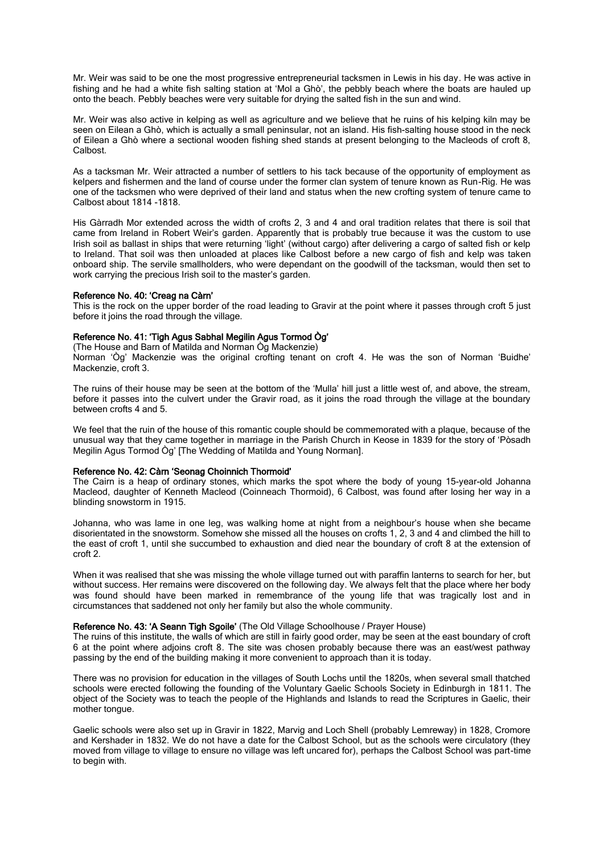Mr. Weir was said to be one the most progressive entrepreneurial tacksmen in Lewis in his day. He was active in fishing and he had a white fish salting station at 'Mol a Ghò', the pebbly beach where the boats are hauled up onto the beach. Pebbly beaches were very suitable for drying the salted fish in the sun and wind.

Mr. Weir was also active in kelping as well as agriculture and we believe that he ruins of his kelping kiln may be seen on Eilean a Ghò, which is actually a small peninsular, not an island. His fish-salting house stood in the neck of Eilean a Ghò where a sectional wooden fishing shed stands at present belonging to the Macleods of croft 8, Calbost.

As a tacksman Mr. Weir attracted a number of settlers to his tack because of the opportunity of employment as kelpers and fishermen and the land of course under the former clan system of tenure known as Run-Rig. He was one of the tacksmen who were deprived of their land and status when the new crofting system of tenure came to Calbost about 1814 -1818.

His Gàrradh Mor extended across the width of crofts 2, 3 and 4 and oral tradition relates that there is soil that came from Ireland in Robert Weir's garden. Apparently that is probably true because it was the custom to use Irish soil as ballast in ships that were returning 'light' (without cargo) after delivering a cargo of salted fish or kelp to Ireland. That soil was then unloaded at places like Calbost before a new cargo of fish and kelp was taken onboard ship. The servile smallholders, who were dependant on the goodwill of the tacksman, would then set to work carrying the precious Irish soil to the master's garden.

### Reference No. 40: 'Creag na Càrn'

This is the rock on the upper border of the road leading to Gravir at the point where it passes through croft 5 just before it joins the road through the village.

# Reference No. 41: 'Tigh Agus Sabhal Megilin Agus Tormod Òg'

(The House and Barn of Matilda and Norman Òg Mackenzie) Norman 'Òg' Mackenzie was the original crofting tenant on croft 4. He was the son of Norman 'Buidhe' Mackenzie, croft 3.

The ruins of their house may be seen at the bottom of the 'Mulla' hill just a little west of, and above, the stream, before it passes into the culvert under the Gravir road, as it joins the road through the village at the boundary between crofts 4 and 5.

We feel that the ruin of the house of this romantic couple should be commemorated with a plaque, because of the unusual way that they came together in marriage in the Parish Church in Keose in 1839 for the story of 'Pòsadh Megilin Agus Tormod Òg' [The Wedding of Matilda and Young Norman].

# Reference No. 42: Càrn 'Seonag Choinnich Thormoid'

The Cairn is a heap of ordinary stones, which marks the spot where the body of young 15-year-old Johanna Macleod, daughter of Kenneth Macleod (Coinneach Thormoid), 6 Calbost, was found after losing her way in a blinding snowstorm in 1915.

Johanna, who was lame in one leg, was walking home at night from a neighbour's house when she became disorientated in the snowstorm. Somehow she missed all the houses on crofts 1, 2, 3 and 4 and climbed the hill to the east of croft 1, until she succumbed to exhaustion and died near the boundary of croft 8 at the extension of croft 2.

When it was realised that she was missing the whole village turned out with paraffin lanterns to search for her, but without success. Her remains were discovered on the following day. We always felt that the place where her body was found should have been marked in remembrance of the young life that was tragically lost and in circumstances that saddened not only her family but also the whole community.

# Reference No. 43: 'A Seann Tigh Sgoile' (The Old Village Schoolhouse / Prayer House)

The ruins of this institute, the walls of which are still in fairly good order, may be seen at the east boundary of croft 6 at the point where adjoins croft 8. The site was chosen probably because there was an east/west pathway passing by the end of the building making it more convenient to approach than it is today.

There was no provision for education in the villages of South Lochs until the 1820s, when several small thatched schools were erected following the founding of the Voluntary Gaelic Schools Society in Edinburgh in 1811. The object of the Society was to teach the people of the Highlands and Islands to read the Scriptures in Gaelic, their mother tongue.

Gaelic schools were also set up in Gravir in 1822, Marvig and Loch Shell (probably Lemreway) in 1828, Cromore and Kershader in 1832. We do not have a date for the Calbost School, but as the schools were circulatory (they moved from village to village to ensure no village was left uncared for), perhaps the Calbost School was part-time to begin with.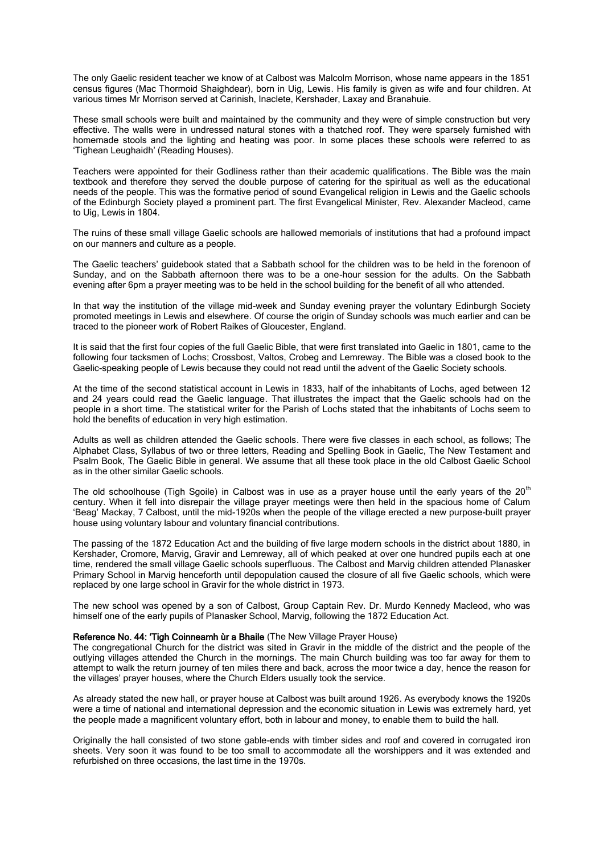The only Gaelic resident teacher we know of at Calbost was Malcolm Morrison, whose name appears in the 1851 census figures (Mac Thormoid Shaighdear), born in Uig, Lewis. His family is given as wife and four children. At various times Mr Morrison served at Carinish, Inaclete, Kershader, Laxay and Branahuie.

These small schools were built and maintained by the community and they were of simple construction but very effective. The walls were in undressed natural stones with a thatched roof. They were sparsely furnished with homemade stools and the lighting and heating was poor. In some places these schools were referred to as 'Tighean Leughaidh' (Reading Houses).

Teachers were appointed for their Godliness rather than their academic qualifications. The Bible was the main textbook and therefore they served the double purpose of catering for the spiritual as well as the educational needs of the people. This was the formative period of sound Evangelical religion in Lewis and the Gaelic schools of the Edinburgh Society played a prominent part. The first Evangelical Minister, Rev. Alexander Macleod, came to Uig, Lewis in 1804.

The ruins of these small village Gaelic schools are hallowed memorials of institutions that had a profound impact on our manners and culture as a people.

The Gaelic teachers' guidebook stated that a Sabbath school for the children was to be held in the forenoon of Sunday, and on the Sabbath afternoon there was to be a one-hour session for the adults. On the Sabbath evening after 6pm a prayer meeting was to be held in the school building for the benefit of all who attended.

In that way the institution of the village mid-week and Sunday evening prayer the voluntary Edinburgh Society promoted meetings in Lewis and elsewhere. Of course the origin of Sunday schools was much earlier and can be traced to the pioneer work of Robert Raikes of Gloucester, England.

It is said that the first four copies of the full Gaelic Bible, that were first translated into Gaelic in 1801, came to the following four tacksmen of Lochs; Crossbost, Valtos, Crobeg and Lemreway. The Bible was a closed book to the Gaelic-speaking people of Lewis because they could not read until the advent of the Gaelic Society schools.

At the time of the second statistical account in Lewis in 1833, half of the inhabitants of Lochs, aged between 12 and 24 years could read the Gaelic language. That illustrates the impact that the Gaelic schools had on the people in a short time. The statistical writer for the Parish of Lochs stated that the inhabitants of Lochs seem to hold the benefits of education in very high estimation.

Adults as well as children attended the Gaelic schools. There were five classes in each school, as follows; The Alphabet Class, Syllabus of two or three letters, Reading and Spelling Book in Gaelic, The New Testament and Psalm Book, The Gaelic Bible in general. We assume that all these took place in the old Calbost Gaelic School as in the other similar Gaelic schools.

The old schoolhouse (Tigh Sgoile) in Calbost was in use as a prayer house until the early years of the  $20<sup>th</sup>$ century. When it fell into disrepair the village prayer meetings were then held in the spacious home of Calum 'Beag' Mackay, 7 Calbost, until the mid-1920s when the people of the village erected a new purpose-built prayer house using voluntary labour and voluntary financial contributions.

The passing of the 1872 Education Act and the building of five large modern schools in the district about 1880, in Kershader, Cromore, Marvig, Gravir and Lemreway, all of which peaked at over one hundred pupils each at one time, rendered the small village Gaelic schools superfluous. The Calbost and Marvig children attended Planasker Primary School in Marvig henceforth until depopulation caused the closure of all five Gaelic schools, which were replaced by one large school in Gravir for the whole district in 1973.

The new school was opened by a son of Calbost, Group Captain Rev. Dr. Murdo Kennedy Macleod, who was himself one of the early pupils of Planasker School, Marvig, following the 1872 Education Act.

# Reference No. 44: 'Tigh Coinneamh ùr a Bhaile (The New Village Prayer House)

The congregational Church for the district was sited in Gravir in the middle of the district and the people of the outlying villages attended the Church in the mornings. The main Church building was too far away for them to attempt to walk the return journey of ten miles there and back, across the moor twice a day, hence the reason for the villages' prayer houses, where the Church Elders usually took the service.

As already stated the new hall, or prayer house at Calbost was built around 1926. As everybody knows the 1920s were a time of national and international depression and the economic situation in Lewis was extremely hard, yet the people made a magnificent voluntary effort, both in labour and money, to enable them to build the hall.

Originally the hall consisted of two stone gable-ends with timber sides and roof and covered in corrugated iron sheets. Very soon it was found to be too small to accommodate all the worshippers and it was extended and refurbished on three occasions, the last time in the 1970s.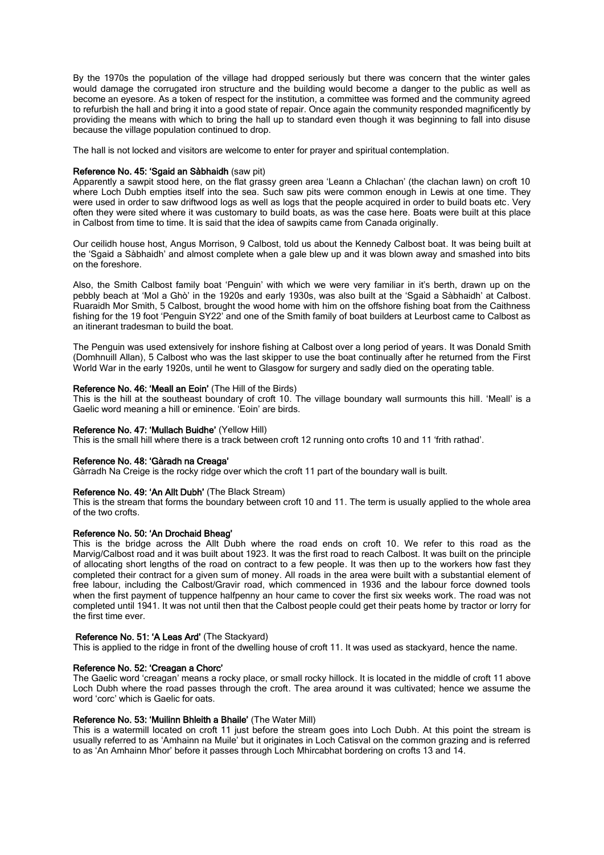By the 1970s the population of the village had dropped seriously but there was concern that the winter gales would damage the corrugated iron structure and the building would become a danger to the public as well as become an eyesore. As a token of respect for the institution, a committee was formed and the community agreed to refurbish the hall and bring it into a good state of repair. Once again the community responded magnificently by providing the means with which to bring the hall up to standard even though it was beginning to fall into disuse because the village population continued to drop.

The hall is not locked and visitors are welcome to enter for prayer and spiritual contemplation.

# Reference No. 45: 'Sgaid an Sàbhaidh (saw pit)

Apparently a sawpit stood here, on the flat grassy green area 'Leann a Chlachan' (the clachan lawn) on croft 10 where Loch Dubh empties itself into the sea. Such saw pits were common enough in Lewis at one time. They were used in order to saw driftwood logs as well as logs that the people acquired in order to build boats etc. Very often they were sited where it was customary to build boats, as was the case here. Boats were built at this place in Calbost from time to time. It is said that the idea of sawpits came from Canada originally.

Our ceilidh house host, Angus Morrison, 9 Calbost, told us about the Kennedy Calbost boat. It was being built at the 'Sgaid a Sàbhaidh' and almost complete when a gale blew up and it was blown away and smashed into bits on the foreshore.

Also, the Smith Calbost family boat 'Penguin' with which we were very familiar in it's berth, drawn up on the pebbly beach at 'Mol a Ghò' in the 1920s and early 1930s, was also built at the 'Sgaid a Sàbhaidh' at Calbost. Ruaraidh Mor Smith, 5 Calbost, brought the wood home with him on the offshore fishing boat from the Caithness fishing for the 19 foot 'Penguin SY22' and one of the Smith family of boat builders at Leurbost came to Calbost as an itinerant tradesman to build the boat.

The Penguin was used extensively for inshore fishing at Calbost over a long period of years. It was Donald Smith (Domhnuill Allan), 5 Calbost who was the last skipper to use the boat continually after he returned from the First World War in the early 1920s, until he went to Glasgow for surgery and sadly died on the operating table.

# Reference No. 46: 'Meall an Eoin' (The Hill of the Birds)

This is the hill at the southeast boundary of croft 10. The village boundary wall surmounts this hill. 'Meall' is a Gaelic word meaning a hill or eminence. 'Eoin' are birds.

#### Reference No. 47: 'Mullach Buidhe' (Yellow Hill)

This is the small hill where there is a track between croft 12 running onto crofts 10 and 11 'frith rathad'.

# Reference No. 48: 'Gàradh na Creaga'

Gàrradh Na Creige is the rocky ridge over which the croft 11 part of the boundary wall is built.

#### Reference No. 49: 'An Allt Dubh' (The Black Stream)

This is the stream that forms the boundary between croft 10 and 11. The term is usually applied to the whole area of the two crofts.

#### Reference No. 50: 'An Drochaid Bheag'

This is the bridge across the Allt Dubh where the road ends on croft 10. We refer to this road as the Marvig/Calbost road and it was built about 1923. It was the first road to reach Calbost. It was built on the principle of allocating short lengths of the road on contract to a few people. It was then up to the workers how fast they completed their contract for a given sum of money. All roads in the area were built with a substantial element of free labour, including the Calbost/Gravir road, which commenced in 1936 and the labour force downed tools when the first payment of tuppence halfpenny an hour came to cover the first six weeks work. The road was not completed until 1941. It was not until then that the Calbost people could get their peats home by tractor or lorry for the first time ever.

#### Reference No. 51: 'A Leas Ard' (The Stackyard)

This is applied to the ridge in front of the dwelling house of croft 11. It was used as stackyard, hence the name.

# Reference No. 52: 'Creagan a Chorc'

The Gaelic word 'creagan' means a rocky place, or small rocky hillock. It is located in the middle of croft 11 above Loch Dubh where the road passes through the croft. The area around it was cultivated; hence we assume the word 'corc' which is Gaelic for oats.

## Reference No. 53: 'Muilinn Bhleith a Bhaile' (The Water Mill)

This is a watermill located on croft 11 just before the stream goes into Loch Dubh. At this point the stream is usually referred to as 'Amhainn na Muile' but it originates in Loch Catisval on the common grazing and is referred to as 'An Amhainn Mhor' before it passes through Loch Mhircabhat bordering on crofts 13 and 14.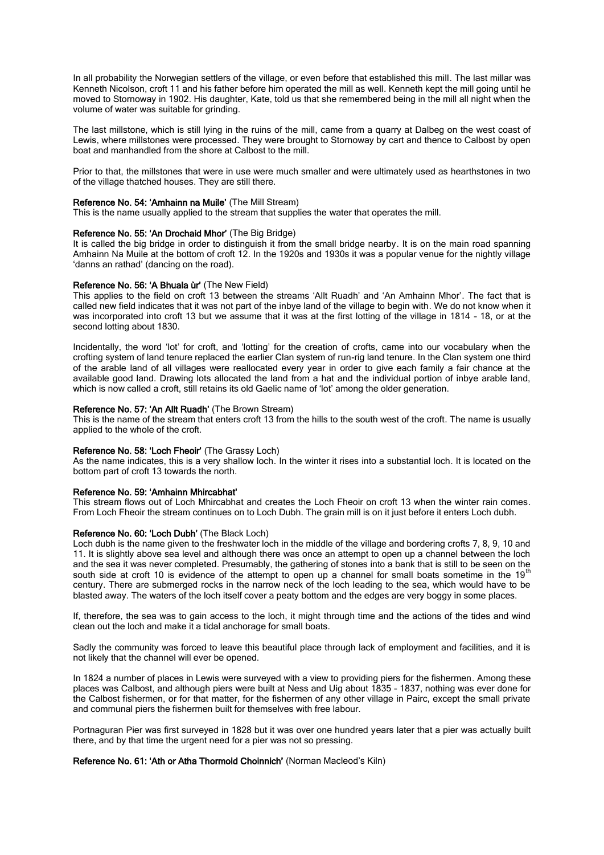In all probability the Norwegian settlers of the village, or even before that established this mill. The last millar was Kenneth Nicolson, croft 11 and his father before him operated the mill as well. Kenneth kept the mill going until he moved to Stornoway in 1902. His daughter, Kate, told us that she remembered being in the mill all night when the volume of water was suitable for grinding.

The last millstone, which is still lying in the ruins of the mill, came from a quarry at Dalbeg on the west coast of Lewis, where millstones were processed. They were brought to Stornoway by cart and thence to Calbost by open boat and manhandled from the shore at Calbost to the mill.

Prior to that, the millstones that were in use were much smaller and were ultimately used as hearthstones in two of the village thatched houses. They are still there.

#### Reference No. 54: 'Amhainn na Muile' (The Mill Stream)

This is the name usually applied to the stream that supplies the water that operates the mill.

# Reference No. 55: 'An Drochaid Mhor' (The Big Bridge)

It is called the big bridge in order to distinguish it from the small bridge nearby. It is on the main road spanning Amhainn Na Muile at the bottom of croft 12. In the 1920s and 1930s it was a popular venue for the nightly village 'danns an rathad' (dancing on the road).

# Reference No. 56: 'A Bhuala ùr' (The New Field)

This applies to the field on croft 13 between the streams 'Allt Ruadh' and 'An Amhainn Mhor'. The fact that is called new field indicates that it was not part of the inbye land of the village to begin with. We do not know when it was incorporated into croft 13 but we assume that it was at the first lotting of the village in 1814 – 18, or at the second lotting about 1830.

Incidentally, the word 'lot' for croft, and 'lotting' for the creation of crofts, came into our vocabulary when the crofting system of land tenure replaced the earlier Clan system of run-rig land tenure. In the Clan system one third of the arable land of all villages were reallocated every year in order to give each family a fair chance at the available good land. Drawing lots allocated the land from a hat and the individual portion of inbye arable land, which is now called a croft, still retains its old Gaelic name of 'lot' among the older generation.

## Reference No. 57: 'An Allt Ruadh' (The Brown Stream)

This is the name of the stream that enters croft 13 from the hills to the south west of the croft. The name is usually applied to the whole of the croft.

# Reference No. 58: 'Loch Fheoir' (The Grassy Loch)

As the name indicates, this is a very shallow loch. In the winter it rises into a substantial loch. It is located on the bottom part of croft 13 towards the north.

#### Reference No. 59: 'Amhainn Mhircabhat'

This stream flows out of Loch Mhircabhat and creates the Loch Fheoir on croft 13 when the winter rain comes. From Loch Fheoir the stream continues on to Loch Dubh. The grain mill is on it just before it enters Loch dubh.

### Reference No. 60: 'Loch Dubh' (The Black Loch)

Loch dubh is the name given to the freshwater loch in the middle of the village and bordering crofts 7, 8, 9, 10 and 11. It is slightly above sea level and although there was once an attempt to open up a channel between the loch and the sea it was never completed. Presumably, the gathering of stones into a bank that is still to be seen on the south side at croft 10 is evidence of the attempt to open up a channel for small boats sometime in the 19<sup>th</sup> century. There are submerged rocks in the narrow neck of the loch leading to the sea, which would have to be blasted away. The waters of the loch itself cover a peaty bottom and the edges are very boggy in some places.

If, therefore, the sea was to gain access to the loch, it might through time and the actions of the tides and wind clean out the loch and make it a tidal anchorage for small boats.

Sadly the community was forced to leave this beautiful place through lack of employment and facilities, and it is not likely that the channel will ever be opened.

In 1824 a number of places in Lewis were surveyed with a view to providing piers for the fishermen. Among these places was Calbost, and although piers were built at Ness and Uig about 1835 – 1837, nothing was ever done for the Calbost fishermen, or for that matter, for the fishermen of any other village in Pairc, except the small private and communal piers the fishermen built for themselves with free labour.

Portnaguran Pier was first surveyed in 1828 but it was over one hundred years later that a pier was actually built there, and by that time the urgent need for a pier was not so pressing.

# Reference No. 61: 'Ath or Atha Thormoid Choinnich' (Norman Macleod's Kiln)